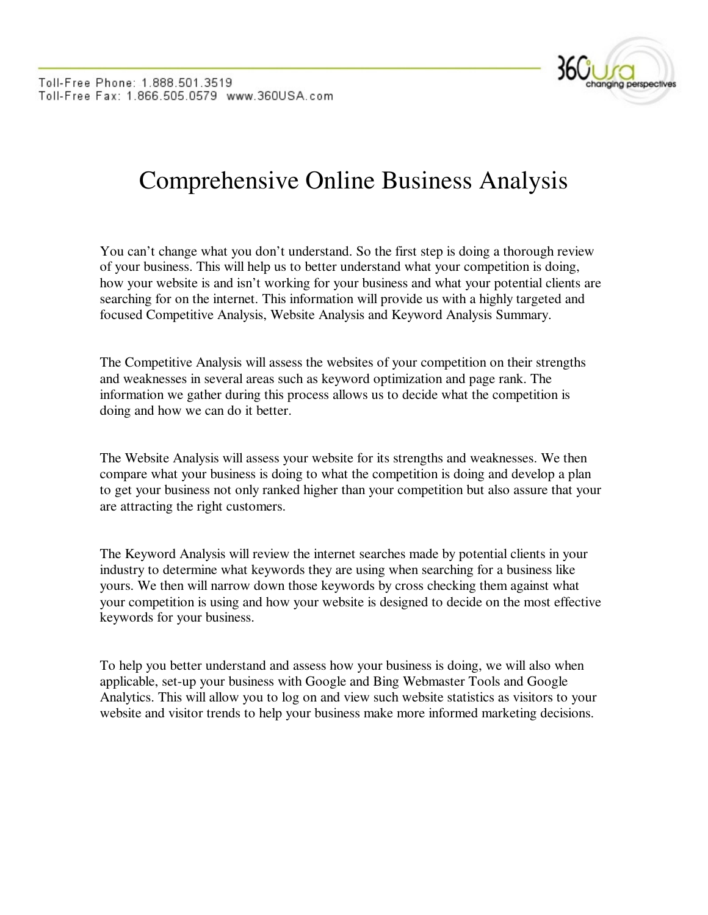

## Comprehensive Online Business Analysis

You can't change what you don't understand. So the first step is doing a thorough review of your business. This will help us to better understand what your competition is doing, how your website is and isn't working for your business and what your potential clients are searching for on the internet. This information will provide us with a highly targeted and focused Competitive Analysis, Website Analysis and Keyword Analysis Summary.

The Competitive Analysis will assess the websites of your competition on their strengths and weaknesses in several areas such as keyword optimization and page rank. The information we gather during this process allows us to decide what the competition is doing and how we can do it better.

The Website Analysis will assess your website for its strengths and weaknesses. We then compare what your business is doing to what the competition is doing and develop a plan to get your business not only ranked higher than your competition but also assure that your are attracting the right customers.

The Keyword Analysis will review the internet searches made by potential clients in your industry to determine what keywords they are using when searching for a business like yours. We then will narrow down those keywords by cross checking them against what your competition is using and how your website is designed to decide on the most effective keywords for your business.

To help you better understand and assess how your business is doing, we will also when applicable, set-up your business with Google and Bing Webmaster Tools and Google Analytics. This will allow you to log on and view such website statistics as visitors to your website and visitor trends to help your business make more informed marketing decisions.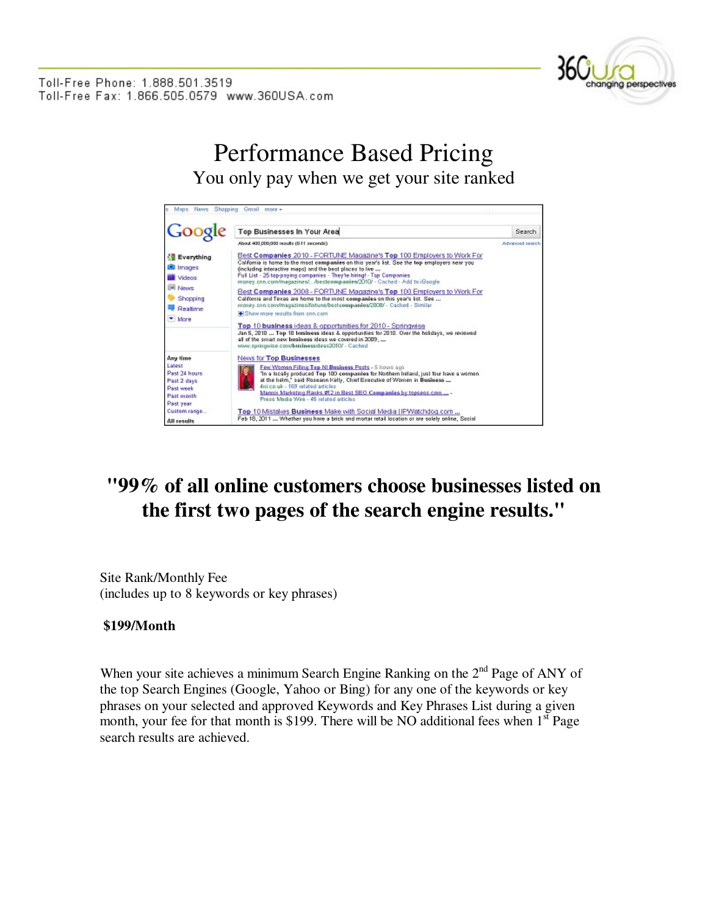

Toll-Free Phone: 1.888.501.3519 Toll-Free Fax: 1.866.505.0579 www.360USA.com

> Performance Based Pricing You only pay when we get your site ranked



## **"99% of all online customers choose businesses listed on the first two pages of the search engine results."**

Site Rank/Monthly Fee (includes up to 8 keywords or key phrases)

## **\$199/Month**

When your site achieves a minimum Search Engine Ranking on the 2<sup>nd</sup> Page of ANY of the top Search Engines (Google, Yahoo or Bing) for any one of the keywords or key phrases on your selected and approved Keywords and Key Phrases List during a given month, your fee for that month is \$199. There will be NO additional fees when  $1<sup>st</sup>$  Page search results are achieved.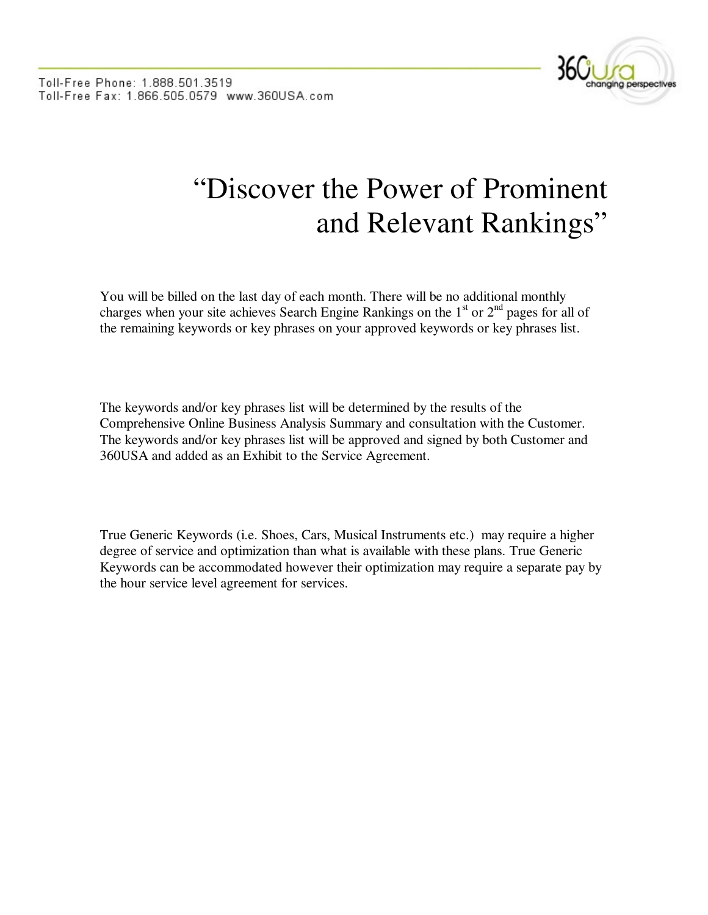

## "Discover the Power of Prominent and Relevant Rankings"

You will be billed on the last day of each month. There will be no additional monthly charges when your site achieves Search Engine Rankings on the  $1<sup>st</sup>$  or  $2<sup>nd</sup>$  pages for all of the remaining keywords or key phrases on your approved keywords or key phrases list.

The keywords and/or key phrases list will be determined by the results of the Comprehensive Online Business Analysis Summary and consultation with the Customer. The keywords and/or key phrases list will be approved and signed by both Customer and 360USA and added as an Exhibit to the Service Agreement.

True Generic Keywords (i.e. Shoes, Cars, Musical Instruments etc.) may require a higher degree of service and optimization than what is available with these plans. True Generic Keywords can be accommodated however their optimization may require a separate pay by the hour service level agreement for services.